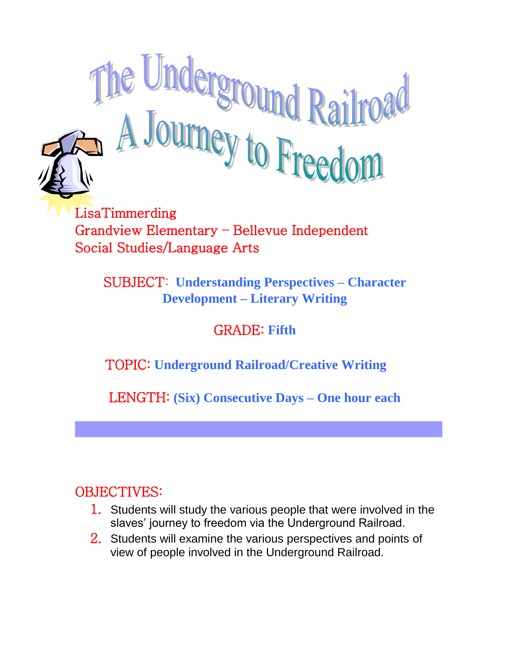

Grandview Elementary – Bellevue Independent Social Studies/Language Arts

SUBJECT: **Understanding Perspectives – Character Development – Literary Writing**

## GRADE: **Fifth**

### TOPIC: **Underground Railroad/Creative Writing**

LENGTH: **(Six) Consecutive Days – One hour each**

### OBJECTIVES:

- 1. Students will study the various people that were involved in the slaves' journey to freedom via the Underground Railroad.
- 2. Students will examine the various perspectives and points of view of people involved in the Underground Railroad.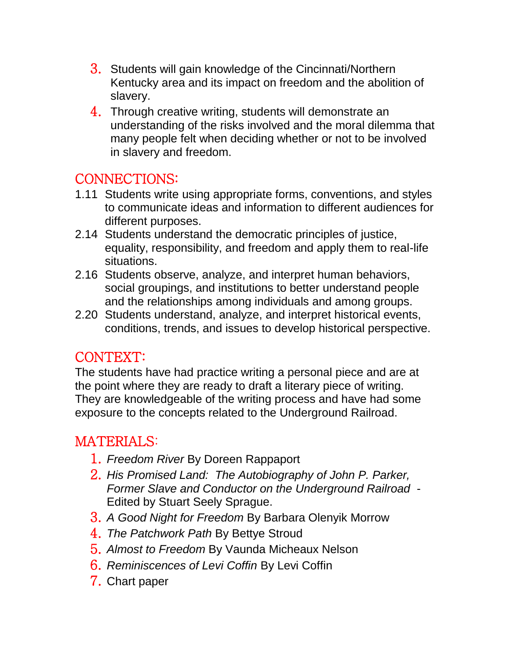- 3. Students will gain knowledge of the Cincinnati/Northern Kentucky area and its impact on freedom and the abolition of slavery.
- 4. Through creative writing, students will demonstrate an understanding of the risks involved and the moral dilemma that many people felt when deciding whether or not to be involved in slavery and freedom.

## CONNECTIONS:

- 1.11 Students write using appropriate forms, conventions, and styles to communicate ideas and information to different audiences for different purposes.
- 2.14 Students understand the democratic principles of justice, equality, responsibility, and freedom and apply them to real-life situations.
- 2.16 Students observe, analyze, and interpret human behaviors, social groupings, and institutions to better understand people and the relationships among individuals and among groups.
- 2.20 Students understand, analyze, and interpret historical events, conditions, trends, and issues to develop historical perspective.

#### CONTEXT:

The students have had practice writing a personal piece and are at the point where they are ready to draft a literary piece of writing. They are knowledgeable of the writing process and have had some exposure to the concepts related to the Underground Railroad.

### MATERIALS:

- 1. *Freedom River* By Doreen Rappaport
- 2. *His Promised Land: The Autobiography of John P. Parker, Former Slave and Conductor on the Underground Railroad* - Edited by Stuart Seely Sprague.
- 3. *A Good Night for Freedom* By Barbara Olenyik Morrow
- 4. *The Patchwork Path* By Bettye Stroud
- 5. *Almost to Freedom* By Vaunda Micheaux Nelson
- 6. *Reminiscences of Levi Coffin* By Levi Coffin
- 7. Chart paper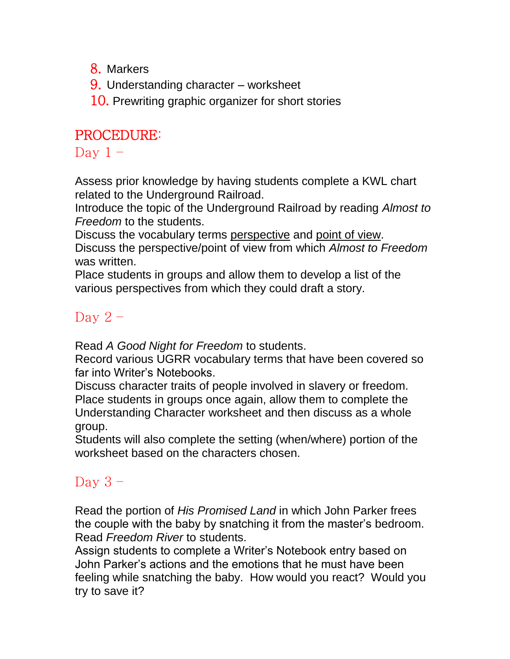8. Markers

- 9. Understanding character worksheet
- 10. Prewriting graphic organizer for short stories

### PROCEDURE:

Day  $1 -$ 

Assess prior knowledge by having students complete a KWL chart related to the Underground Railroad.

Introduce the topic of the Underground Railroad by reading *Almost to Freedom* to the students.

Discuss the vocabulary terms perspective and point of view. Discuss the perspective/point of view from which *Almost to Freedom* was written.

Place students in groups and allow them to develop a list of the various perspectives from which they could draft a story.

# Day  $2 -$

Read *A Good Night for Freedom* to students.

Record various UGRR vocabulary terms that have been covered so far into Writer's Notebooks.

Discuss character traits of people involved in slavery or freedom. Place students in groups once again, allow them to complete the Understanding Character worksheet and then discuss as a whole group.

Students will also complete the setting (when/where) portion of the worksheet based on the characters chosen.

# Day  $3 -$

Read the portion of *His Promised Land* in which John Parker frees the couple with the baby by snatching it from the master's bedroom. Read *Freedom River* to students.

Assign students to complete a Writer's Notebook entry based on John Parker's actions and the emotions that he must have been feeling while snatching the baby. How would you react? Would you try to save it?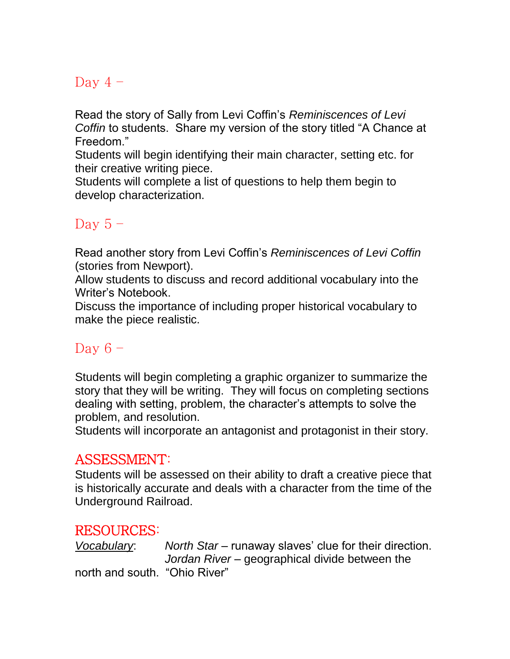### Day  $4 -$

Read the story of Sally from Levi Coffin's *Reminiscences of Levi Coffin* to students. Share my version of the story titled "A Chance at Freedom."

Students will begin identifying their main character, setting etc. for their creative writing piece.

Students will complete a list of questions to help them begin to develop characterization.

#### Day  $5 -$

Read another story from Levi Coffin's *Reminiscences of Levi Coffin* (stories from Newport).

Allow students to discuss and record additional vocabulary into the Writer's Notebook.

Discuss the importance of including proper historical vocabulary to make the piece realistic.

### Day  $6 -$

Students will begin completing a graphic organizer to summarize the story that they will be writing. They will focus on completing sections dealing with setting, problem, the character's attempts to solve the problem, and resolution.

Students will incorporate an antagonist and protagonist in their story.

### ASSESSMENT:

Students will be assessed on their ability to draft a creative piece that is historically accurate and deals with a character from the time of the Underground Railroad.

### RESOURCES:

*Vocabulary*: *North Star* – runaway slaves' clue for their direction. *Jordan River* – geographical divide between the

north and south. "Ohio River"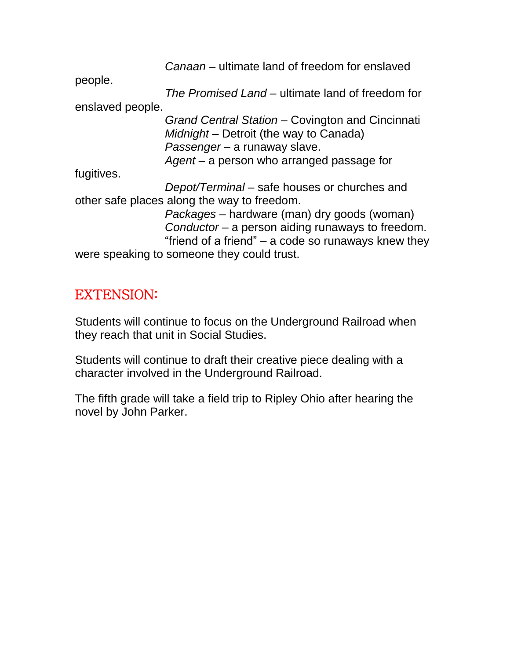|                  | Canaan – ultimate land of freedom for enslaved      |
|------------------|-----------------------------------------------------|
| people.          |                                                     |
|                  | The Promised Land – ultimate land of freedom for    |
| enslaved people. |                                                     |
|                  | Grand Central Station – Covington and Cincinnati    |
|                  | Midnight – Detroit (the way to Canada)              |
|                  | Passenger - a runaway slave.                        |
|                  | Agent – a person who arranged passage for           |
| fugitives.       |                                                     |
|                  | Depot/Terminal – safe houses or churches and        |
|                  | other safe places along the way to freedom.         |
|                  | <i>Packages</i> – hardware (man) dry goods (woman)  |
|                  | Conductor - a person aiding runaways to freedom.    |
|                  | "friend of a friend" – a code so runaways knew they |
|                  | were speaking to someone they could trust.          |

## EXTENSION:

Students will continue to focus on the Underground Railroad when they reach that unit in Social Studies.

Students will continue to draft their creative piece dealing with a character involved in the Underground Railroad.

The fifth grade will take a field trip to Ripley Ohio after hearing the novel by John Parker.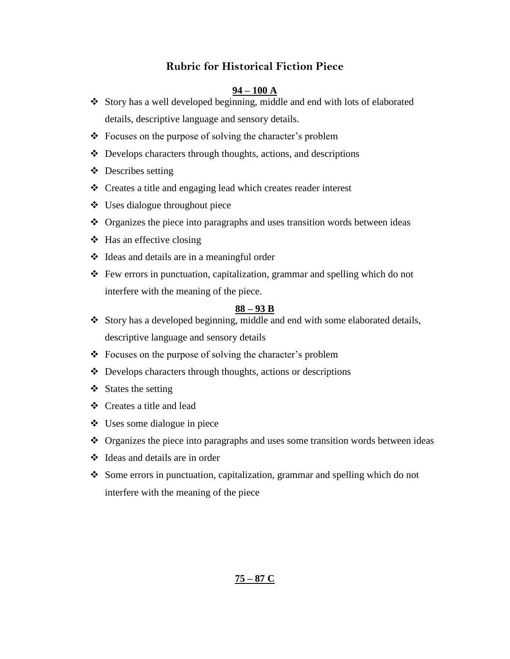#### **Rubric for Historical Fiction Piece**

#### **94 – 100 A**

- Story has a well developed beginning, middle and end with lots of elaborated details, descriptive language and sensory details.
- Focuses on the purpose of solving the character's problem
- Develops characters through thoughts, actions, and descriptions
- $\triangle$  Describes setting
- Creates a title and engaging lead which creates reader interest
- Uses dialogue throughout piece
- Organizes the piece into paragraphs and uses transition words between ideas
- $\triangleleft$  Has an effective closing
- $\triangleleft$  Ideas and details are in a meaningful order
- Few errors in punctuation, capitalization, grammar and spelling which do not interfere with the meaning of the piece.

#### **88 – 93 B**

- \* Story has a developed beginning, middle and end with some elaborated details, descriptive language and sensory details
- Focuses on the purpose of solving the character's problem
- $\triangle$  Develops characters through thoughts, actions or descriptions
- $\div$  States the setting
- Creates a title and lead
- $\div$  Uses some dialogue in piece
- $\triangle$  Organizes the piece into paragraphs and uses some transition words between ideas
- Ideas and details are in order
- Some errors in punctuation, capitalization, grammar and spelling which do not interfere with the meaning of the piece

#### **75 – 87 C**